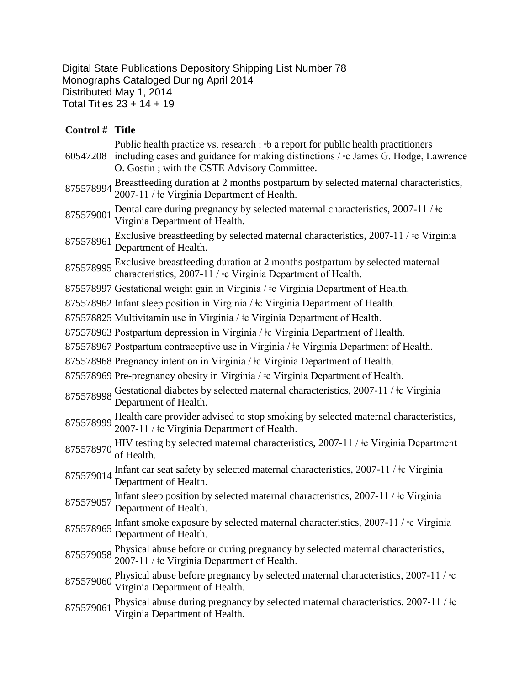Digital State Publications Depository Shipping List Number 78 Monographs Cataloged During April 2014 Distributed May 1, 2014 Total Titles 23 + 14 + 19

| Control # Title |                                                                                                                                                                                                                              |
|-----------------|------------------------------------------------------------------------------------------------------------------------------------------------------------------------------------------------------------------------------|
| 60547208        | Public health practice vs. research : #b a report for public health practitioners<br>including cases and guidance for making distinctions / $\pm c$ James G. Hodge, Lawrence<br>O. Gostin; with the CSTE Advisory Committee. |
| 875578994       | Breastfeeding duration at 2 months postpartum by selected maternal characteristics,<br>2007-11 / $\pm c$ Virginia Department of Health.                                                                                      |
| 875579001       | Dental care during pregnancy by selected maternal characteristics, 2007-11 / $\pm$ c<br>Virginia Department of Health.                                                                                                       |
| 875578961       | Exclusive breastfeeding by selected maternal characteristics, 2007-11 / <sup>‡</sup> c Virginia<br>Department of Health.                                                                                                     |
|                 | 875578995 Exclusive breastfeeding duration at 2 months postpartum by selected maternal<br>characteristics, 2007-11 / ‡c Virginia Department of Health.                                                                       |
|                 | 875578997 Gestational weight gain in Virginia / ‡c Virginia Department of Health.                                                                                                                                            |
|                 | 875578962 Infant sleep position in Virginia / ‡c Virginia Department of Health.                                                                                                                                              |
|                 | 875578825 Multivitamin use in Virginia / ‡c Virginia Department of Health.                                                                                                                                                   |
|                 | 875578963 Postpartum depression in Virginia / ‡c Virginia Department of Health.                                                                                                                                              |
|                 | 875578967 Postpartum contraceptive use in Virginia / $\pm c$ Virginia Department of Health.                                                                                                                                  |
|                 | 875578968 Pregnancy intention in Virginia / ‡c Virginia Department of Health.                                                                                                                                                |
|                 | 875578969 Pre-pregnancy obesity in Virginia / ‡c Virginia Department of Health.                                                                                                                                              |
|                 | 875578998 Gestational diabetes by selected maternal characteristics, 2007-11 / $\pm$ c Virginia<br>Department of Health.                                                                                                     |
|                 | 875578999 Health care provider advised to stop smoking by selected maternal characteristics,<br>2007-11 / ‡c Virginia Department of Health.                                                                                  |
| 875578970       | HIV testing by selected maternal characteristics, 2007-11 / ‡c Virginia Department<br>of Health.                                                                                                                             |
| 875579014       | Infant car seat safety by selected maternal characteristics, 2007-11 / to Virginia<br>Department of Health.                                                                                                                  |
| 875579057       | Infant sleep position by selected maternal characteristics, 2007-11 / $\pm$ Virginia<br>Department of Health.                                                                                                                |
| 875578965       | Infant smoke exposure by selected maternal characteristics, $2007-11$ / $\pm$ c Virginia<br>Department of Health.                                                                                                            |
| 875579058       | Physical abuse before or during pregnancy by selected maternal characteristics,<br>2007-11 / ‡c Virginia Department of Health.                                                                                               |
| 875579060       | Physical abuse before pregnancy by selected maternal characteristics, 2007-11/ $\pm$ c<br>Virginia Department of Health.                                                                                                     |
| 875579061       | Physical abuse during pregnancy by selected maternal characteristics, 2007-11 / $\pm c$<br>Virginia Department of Health.                                                                                                    |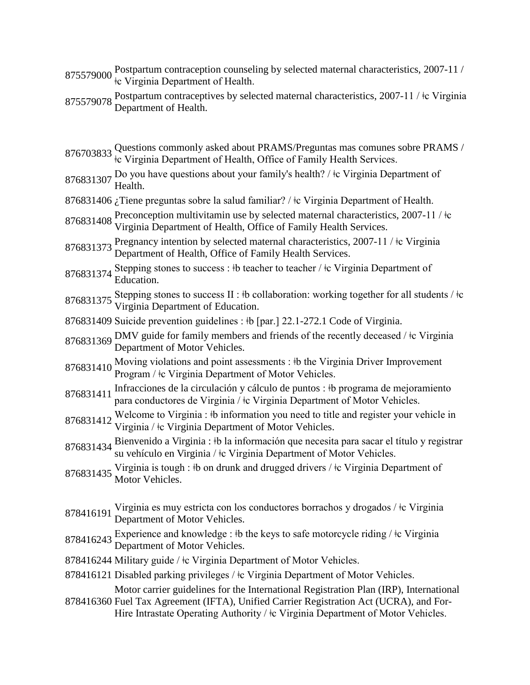- Postpartum contraception counseling by selected maternal characteristics, 2007-11 /  $875579000 \underset{\text{to}}{\overset{\text{F}}{\text{cos}}\text{F}} \text{Virginia Department of Health.}$
- 875579078 Postpartum contraceptives by selected maternal characteristics, 2007-11 /  $\pm$ c Virginia Department of Health.

<sup>876703833</sup> Questions commonly asked about PRAMS/Preguntas mas comunes sobre PRAMS / ǂc Virginia Department of Health, Office of Family Health Services.

- 876831307 Do you have questions about your family's health? / ‡c Virginia Department of Health.
- 876831406 *;* Tiene preguntas sobre la salud familiar? / ‡c Virginia Department of Health.
- 876831408 Preconception multivitamin use by selected maternal characteristics, 2007-11 / ‡c Virginia Department of Health, Office of Family Health Services.
- <sup>876831373</sup> Pregnancy intention by selected maternal characteristics, 2007-11 / ǂc Virginia Department of Health, Office of Family Health Services.
- 876831374 Stepping stones to success : ‡b teacher to teacher / ‡c Virginia Department of Education.
- 876831375 Stepping stones to success II :  $\frac{1}{2}$  to collaboration: working together for all students /  $\frac{1}{2}$ c Virginia Department of Education.
- 876831409 Suicide prevention guidelines :  $\frac{1}{2}$  [par.] 22.1-272.1 Code of Virginia.
- 876831369 DMV guide for family members and friends of the recently deceased /  $\pm$ c Virginia Department of Motor Vehicles.
- 876831410 Moving violations and point assessments : ‡b the Virginia Driver Improvement Program / ‡c Virginia Department of Motor Vehicles.
- 876831411 Infracciones de la circulación y cálculo de puntos : ‡b programa de mejoramiento para conductores de Virginia / ǂc Virginia Department of Motor Vehicles.
- 876831412 Welcome to Virginia : ‡b information you need to title and register your vehicle in Virginia / ‡c Virginia Department of Motor Vehicles.
- 876831434 Bienvenido a Virginia : ‡b la información que necesita para sacar el título y registrar su vehículo en Virginia /  $\pm c$  Virginia Department of Motor Vehicles.
- 876831435 Virginia is tough : ‡b on drunk and drugged drivers / ‡c Virginia Department of Motor Vehicles.
- 878416191 Virginia es muy estricta con los conductores borrachos y drogados /  $\pm$ c Virginia Department of Motor Vehicles.
- 878416243 Experience and knowledge : ‡b the keys to safe motorcycle riding / ‡c Virginia Department of Motor Vehicles.
- 878416244 Military guide / ǂc Virginia Department of Motor Vehicles.
- 878416121 Disabled parking privileges /  $\pm c$  Virginia Department of Motor Vehicles.

Motor carrier guidelines for the International Registration Plan (IRP), International

878416360 Fuel Tax Agreement (IFTA), Unified Carrier Registration Act (UCRA), and For-Hire Intrastate Operating Authority / ‡c Virginia Department of Motor Vehicles.